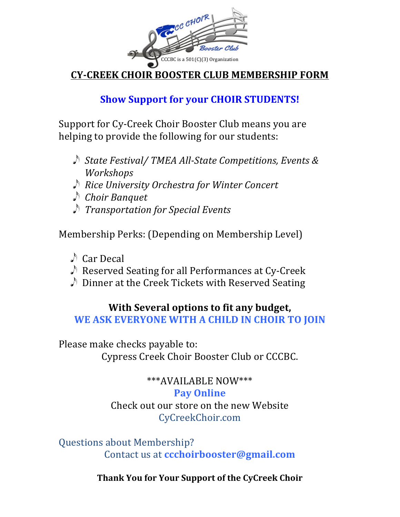

**CY-CREEK CHOIR BOOSTER CLUB MEMBERSHIP FORM**

## **Show Support for your CHOIR STUDENTS!**

Support for Cy-Creek Choir Booster Club means you are helping to provide the following for our students:

- ♪ State Festival/ TMEA All-State Competitions, Events & *Workshops*
- *Rice University Orchestra for Winter Concert*
- *Choir Banquet*
- *Transportation for Special Events*

Membership Perks: (Depending on Membership Level)

- $\triangle$  Car Decal
- $\triangle$  Reserved Seating for all Performances at Cy-Creek
- $\triangle$  Dinner at the Creek Tickets with Reserved Seating

## **With Several options to fit any budget,**

WE ASK EVERYONE WITH A CHILD IN CHOIR TO JOIN

Please make checks payable to: Cypress Creek Choir Booster Club or CCCBC.

# \*\*\*AVAILABLE NOW\*\*\*

### **Pay Online**

Check out our store on the new Website CyCreekChoir.com

Questions about Membership? Contact us at **ccchoirbooster@gmail.com**

**Thank You for Your Support of the CyCreek Choir**